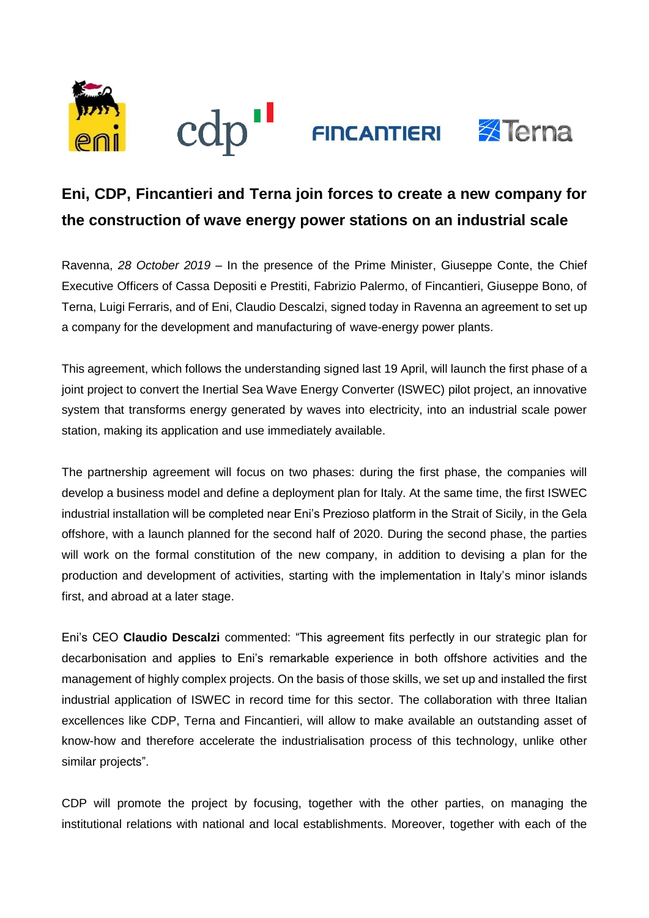

# **Eni, CDP, Fincantieri and Terna join forces to create a new company for the construction of wave energy power stations on an industrial scale**

Ravenna, *28 October 2019 –* In the presence of the Prime Minister, Giuseppe Conte, the Chief Executive Officers of Cassa Depositi e Prestiti, Fabrizio Palermo, of Fincantieri, Giuseppe Bono, of Terna, Luigi Ferraris, and of Eni, Claudio Descalzi, signed today in Ravenna an agreement to set up a company for the development and manufacturing of wave-energy power plants.

This agreement, which follows the understanding signed last 19 April, will launch the first phase of a joint project to convert the Inertial Sea Wave Energy Converter (ISWEC) pilot project, an innovative system that transforms energy generated by waves into electricity, into an industrial scale power station, making its application and use immediately available.

The partnership agreement will focus on two phases: during the first phase, the companies will develop a business model and define a deployment plan for Italy. At the same time, the first ISWEC industrial installation will be completed near Eni's Prezioso platform in the Strait of Sicily, in the Gela offshore, with a launch planned for the second half of 2020. During the second phase, the parties will work on the formal constitution of the new company, in addition to devising a plan for the production and development of activities, starting with the implementation in Italy's minor islands first, and abroad at a later stage.

Eni's CEO **Claudio Descalzi** commented: "This agreement fits perfectly in our strategic plan for decarbonisation and applies to Eni's remarkable experience in both offshore activities and the management of highly complex projects. On the basis of those skills, we set up and installed the first industrial application of ISWEC in record time for this sector. The collaboration with three Italian excellences like CDP, Terna and Fincantieri, will allow to make available an outstanding asset of know-how and therefore accelerate the industrialisation process of this technology, unlike other similar projects".

CDP will promote the project by focusing, together with the other parties, on managing the institutional relations with national and local establishments. Moreover, together with each of the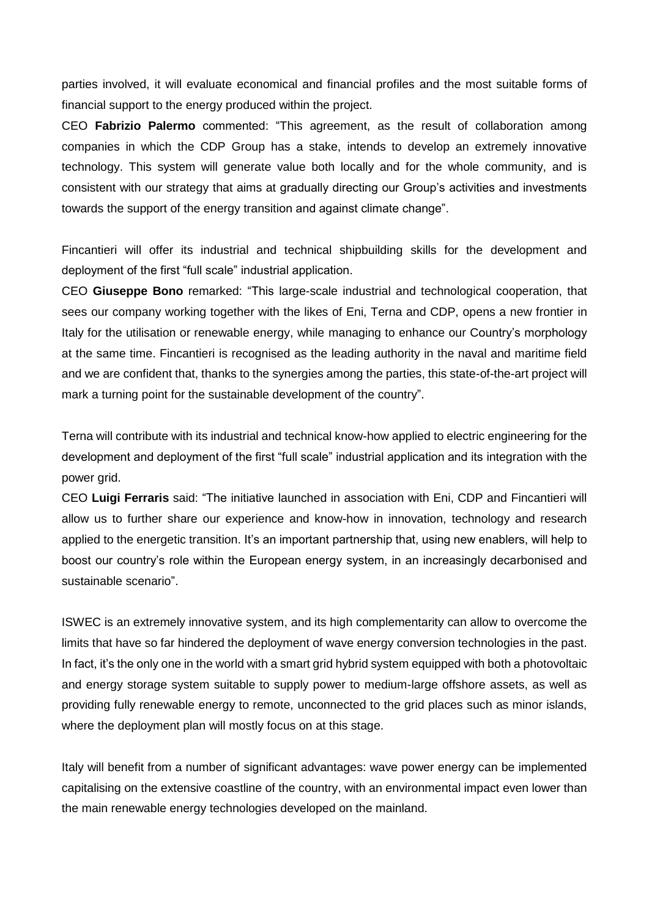parties involved, it will evaluate economical and financial profiles and the most suitable forms of financial support to the energy produced within the project.

CEO **Fabrizio Palermo** commented: "This agreement, as the result of collaboration among companies in which the CDP Group has a stake, intends to develop an extremely innovative technology. This system will generate value both locally and for the whole community, and is consistent with our strategy that aims at gradually directing our Group's activities and investments towards the support of the energy transition and against climate change".

Fincantieri will offer its industrial and technical shipbuilding skills for the development and deployment of the first "full scale" industrial application.

CEO **Giuseppe Bono** remarked: "This large-scale industrial and technological cooperation, that sees our company working together with the likes of Eni, Terna and CDP, opens a new frontier in Italy for the utilisation or renewable energy, while managing to enhance our Country's morphology at the same time. Fincantieri is recognised as the leading authority in the naval and maritime field and we are confident that, thanks to the synergies among the parties, this state-of-the-art project will mark a turning point for the sustainable development of the country".

Terna will contribute with its industrial and technical know-how applied to electric engineering for the development and deployment of the first "full scale" industrial application and its integration with the power grid.

CEO **Luigi Ferraris** said: "The initiative launched in association with Eni, CDP and Fincantieri will allow us to further share our experience and know-how in innovation, technology and research applied to the energetic transition. It's an important partnership that, using new enablers, will help to boost our country's role within the European energy system, in an increasingly decarbonised and sustainable scenario".

ISWEC is an extremely innovative system, and its high complementarity can allow to overcome the limits that have so far hindered the deployment of wave energy conversion technologies in the past. In fact, it's the only one in the world with a smart grid hybrid system equipped with both a photovoltaic and energy storage system suitable to supply power to medium-large offshore assets, as well as providing fully renewable energy to remote, unconnected to the grid places such as minor islands, where the deployment plan will mostly focus on at this stage.

Italy will benefit from a number of significant advantages: wave power energy can be implemented capitalising on the extensive coastline of the country, with an environmental impact even lower than the main renewable energy technologies developed on the mainland.